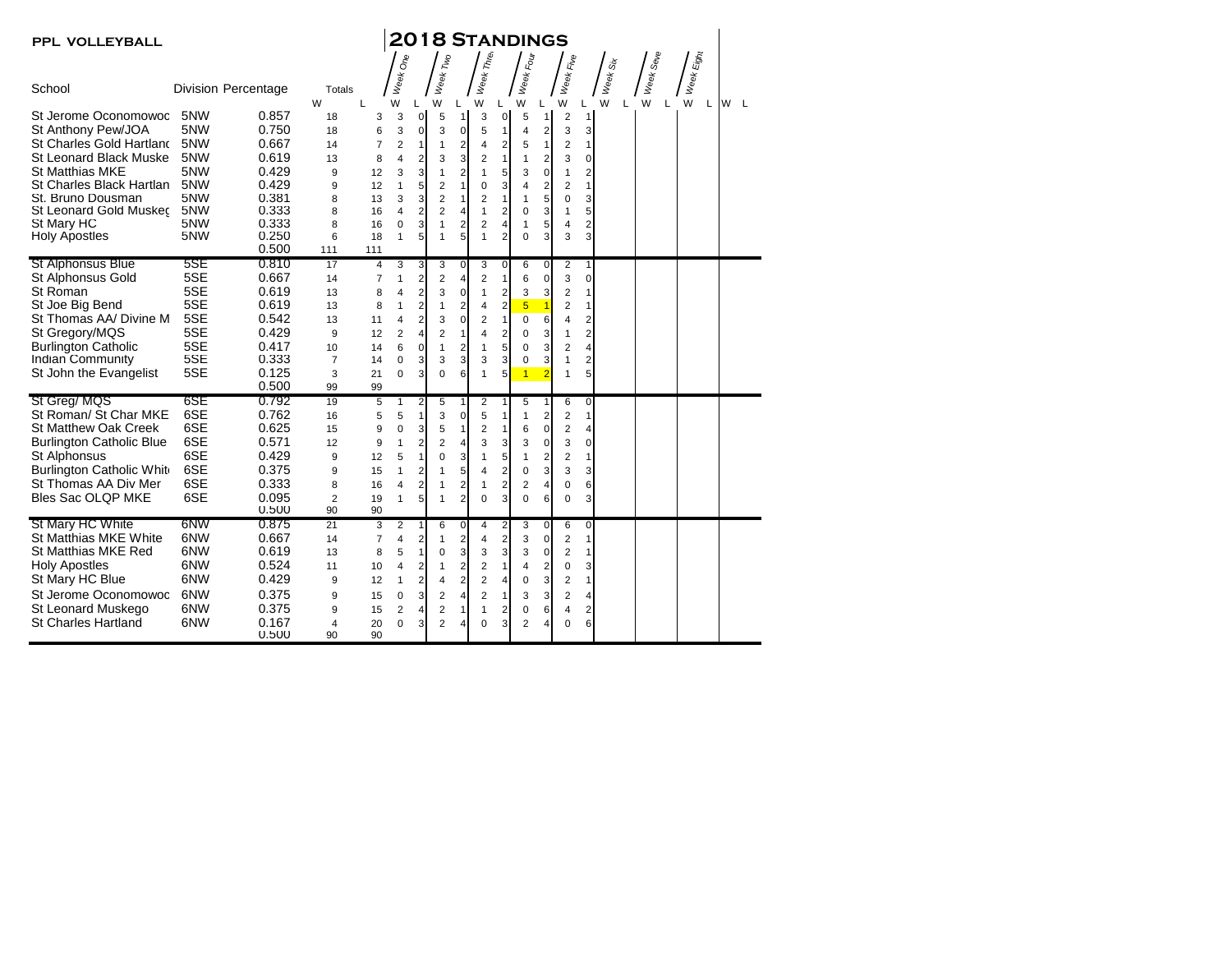| PPL VOLLEYBALL                  |     |                            |                      |                     |                   |                         |                |                         |                     |                | <b>2018 STANDINGS</b>         |                |                         |                                                    |                    |                                 |                        |     |
|---------------------------------|-----|----------------------------|----------------------|---------------------|-------------------|-------------------------|----------------|-------------------------|---------------------|----------------|-------------------------------|----------------|-------------------------|----------------------------------------------------|--------------------|---------------------------------|------------------------|-----|
|                                 |     |                            |                      |                     |                   |                         |                |                         |                     |                |                               |                |                         |                                                    |                    |                                 |                        |     |
| School                          |     | <b>Division Percentage</b> | Totals<br>W          | L                   | Week One<br>W     | L                       | Week Two<br>W  | L                       | Week Three<br>W     | L              | Week Four<br>W                | L              | Week Five<br>W          | L                                                  | Week Six<br>W<br>L | Week Se <sub>Ve</sub><br>W<br>L | : Week Eight<br>W<br>L | W L |
| St Jerome Oconomowoc            | 5NW | 0.857                      | 18                   | 3                   | 3                 | 0                       | 5              | 1                       | 3                   | 0              | 5                             | $\mathbf{1}$   | $\overline{\mathbf{c}}$ | $\mathbf{1}$                                       |                    |                                 |                        |     |
| St Anthony Pew/JOA              | 5NW | 0.750                      | 18                   | 6                   | 3                 | $\mathbf 0$             | 3              | 0                       | 5                   | $\mathbf{1}$   | 4                             | $\overline{2}$ | 3                       | 3                                                  |                    |                                 |                        |     |
| St Charles Gold Hartland        | 5NW | 0.667                      | 14                   | 7                   | $\overline{2}$    | $\mathbf{1}$            | 1              | $\overline{2}$          | 4                   | $\overline{2}$ | 5                             | $\mathbf{1}$   | $\overline{\mathbf{c}}$ | $\mathbf{1}$                                       |                    |                                 |                        |     |
| St Leonard Black Muske          | 5NW | 0.619                      | 13                   | 8                   | $\overline{4}$    | $\overline{\mathbf{c}}$ | 3              | 3                       | 2                   | $\mathbf{1}$   | $\mathbf{1}$                  | $\overline{2}$ | 3                       | $\pmb{0}$                                          |                    |                                 |                        |     |
| <b>St Matthias MKE</b>          | 5NW | 0.429                      | 9                    | 12                  | 3                 | 3                       | $\mathbf{1}$   | $\overline{2}$          | $\mathbf{1}$        | 5              | 3                             | 0              | 1                       | $\boldsymbol{2}$                                   |                    |                                 |                        |     |
| St Charles Black Hartlan        | 5NW | 0.429                      | 9                    | 12                  | $\mathbf{1}$      | 5                       | 2              | $\mathbf{1}$            | $\mathbf 0$         | 3              | $\overline{4}$                | $\overline{2}$ | $\overline{2}$          | $\mathbf{1}$                                       |                    |                                 |                        |     |
| St. Bruno Dousman               | 5NW | 0.381                      | 8                    | 13                  | 3                 | 3                       | $\overline{2}$ | $\mathbf{1}$            | $\overline{2}$      | $\mathbf{1}$   | $\mathbf{1}$                  | 5              | $\mathbf 0$             | 3                                                  |                    |                                 |                        |     |
| St Leonard Gold Muskec          | 5NW | 0.333                      | 8                    | 16                  | $\overline{4}$    | $\overline{2}$          | $\overline{2}$ | $\overline{4}$          | 1                   | $\overline{2}$ | 0                             | 3              | 1                       | 5                                                  |                    |                                 |                        |     |
| St Mary HC                      | 5NW | 0.333                      | 8                    | 16                  | $\mathbf 0$       | 3                       | $\mathbf{1}$   | $\overline{2}$          | $\overline{2}$      | $\overline{4}$ | $\mathbf{1}$                  | 5              | $\overline{4}$          | $\overline{\mathbf{c}}$                            |                    |                                 |                        |     |
| <b>Holy Apostles</b>            | 5NW | 0.250<br>0.500             | 6                    | 18                  | $\mathbf{1}$      | 5                       | $\mathbf{1}$   | 5                       | $\mathbf{1}$        | $\overline{2}$ | $\Omega$                      | 3              | 3                       | 3                                                  |                    |                                 |                        |     |
| <b>St Alphonsus Blue</b>        | 5SE | 0.810                      | 111<br>17            | 111                 |                   |                         |                |                         |                     | $\overline{0}$ |                               |                |                         |                                                    |                    |                                 |                        |     |
| St Alphonsus Gold               | 5SE | 0.667                      | 14                   | 4<br>$\overline{7}$ | 3<br>$\mathbf{1}$ | 3<br>$\overline{2}$     | 3<br>2         | 0<br>4                  | 3<br>$\overline{2}$ | $\mathbf{1}$   | 6<br>6                        | 0<br>0         | $\overline{2}$<br>3     | $\mathbf{1}$<br>$\mathbf 0$                        |                    |                                 |                        |     |
| St Roman                        | 5SE | 0.619                      | 13                   | 8                   | 4                 | $\overline{2}$          | 3              | $\mathbf 0$             | 1                   | $\overline{2}$ | 3                             | 3              | $\overline{2}$          | 1                                                  |                    |                                 |                        |     |
| St Joe Big Bend                 | 5SE | 0.619                      |                      |                     | $\mathbf{1}$      |                         | 1              | $\overline{2}$          |                     | $\overline{2}$ |                               | $\overline{1}$ | $\overline{2}$          | $\mathbf{1}$                                       |                    |                                 |                        |     |
| St Thomas AA/ Divine M          | 5SE | 0.542                      | 13<br>13             | 8<br>11             | $\overline{4}$    | 2<br>$\overline{2}$     | 3              | 0                       | 4<br>$\overline{2}$ | $\mathbf{1}$   | $5\phantom{1}$<br>$\mathbf 0$ | 6              | 4                       |                                                    |                    |                                 |                        |     |
| St Gregory/MQS                  | 5SE | 0.429                      | 9                    |                     |                   |                         |                | $\mathbf{1}$            | 4                   |                | $\mathbf 0$                   |                |                         | $\overline{\mathbf{c}}$<br>$\overline{\mathbf{c}}$ |                    |                                 |                        |     |
| <b>Burlington Catholic</b>      | 5SE | 0.417                      |                      | 12                  | $\overline{2}$    | $\overline{4}$          | 2              |                         |                     | $\overline{2}$ |                               | 3              | 1                       |                                                    |                    |                                 |                        |     |
| Indian Community                | 5SE | 0.333                      | 10<br>$\overline{7}$ | 14<br>14            | 6<br>0            | 0<br>3                  | 1<br>3         | $\overline{2}$<br>3     | 1<br>3              | 5<br>3         | $\mathbf 0$<br>0              | 3<br>3         | $\overline{2}$<br>1     | 4<br>2                                             |                    |                                 |                        |     |
| St John the Evangelist          | 5SE | 0.125                      | 3                    | 21                  | $\Omega$          | 3                       | $\Omega$       | 6                       | 1                   | 5              | $\overline{1}$                | $\overline{2}$ | 1                       | 5                                                  |                    |                                 |                        |     |
|                                 |     | 0.500                      | 99                   | 99                  |                   |                         |                |                         |                     |                |                               |                |                         |                                                    |                    |                                 |                        |     |
| St Greg/ MQS                    | 6SE | 0.792                      | 19                   | 5                   | 1                 | 2                       | 5              | 1                       | 2                   | 1              | 5                             | $\mathbf{1}$   | 6                       | 0                                                  |                    |                                 |                        |     |
| St Roman/ St Char MKE           | 6SE | 0.762                      | 16                   | 5                   | 5                 | $\mathbf{1}$            | 3              | 0                       | 5                   | $\mathbf{1}$   | $\mathbf{1}$                  | $\overline{2}$ | $\overline{2}$          | $\mathbf{1}$                                       |                    |                                 |                        |     |
| <b>St Matthew Oak Creek</b>     | 6SE | 0.625                      | 15                   | 9                   | $\mathbf 0$       | 3                       | 5              | $\mathbf{1}$            | 2                   | $\mathbf{1}$   | 6                             | $\mathbf 0$    | $\overline{2}$          | 4                                                  |                    |                                 |                        |     |
| <b>Burlington Catholic Blue</b> | 6SE | 0.571                      | 12                   | 9                   | $\mathbf{1}$      | 2                       | 2              | 4                       | 3                   | 3              | 3                             | 0              | 3                       | 0                                                  |                    |                                 |                        |     |
| St Alphonsus                    | 6SE | 0.429                      | 9                    | 12                  | 5                 | $\mathbf{1}$            | 0              | 3                       | 1                   | 5              | $\mathbf{1}$                  | $\overline{2}$ | $\overline{2}$          | $\mathbf{1}$                                       |                    |                                 |                        |     |
| Burlington Catholic White       | 6SE | 0.375                      | 9                    | 15                  | $\overline{1}$    | $\overline{2}$          | 1              | 5                       | 4                   | $\overline{2}$ | $\mathbf 0$                   | 3              | 3                       | 3                                                  |                    |                                 |                        |     |
| St Thomas AA Div Mer            | 6SE | 0.333                      | 8                    | 16                  | $\overline{4}$    | $\overline{2}$          | 1              | $\overline{2}$          | 1                   | $\overline{2}$ | $\overline{2}$                | $\overline{4}$ | 0                       | 6                                                  |                    |                                 |                        |     |
| Bles Sac OLQP MKE               | 6SE | 0.095                      | $\overline{2}$       | 19                  | $\mathbf{1}$      | 5                       | 1              | $\overline{2}$          | 0                   | 3              | $\mathbf 0$                   | 6              | 0                       | 3                                                  |                    |                                 |                        |     |
|                                 |     | 0.500                      | 90                   | 90                  |                   |                         |                |                         |                     |                |                               |                |                         |                                                    |                    |                                 |                        |     |
| St Mary HC White                | 6NW | 0.875                      | 21                   | 3                   | $\overline{2}$    | $\mathbf{1}$            | 6              | 0                       | 4                   | $\overline{2}$ | 3                             | 0              | 6                       | 0                                                  |                    |                                 |                        |     |
| St Matthias MKE White           | 6NW | 0.667                      | 14                   | 7                   | 4                 | 2                       | 1              | $\overline{\mathbf{c}}$ | 4                   | $\overline{2}$ | 3                             | $\mathbf 0$    | $\overline{2}$          | $\mathbf{1}$                                       |                    |                                 |                        |     |
| St Matthias MKE Red             | 6NW | 0.619                      | 13                   | 8                   | 5                 | $\mathbf{1}$            | 0              | 3                       | 3                   | 3              | 3                             | $\mathbf 0$    | $\overline{2}$          | $\mathbf{1}$                                       |                    |                                 |                        |     |
| <b>Holy Apostles</b>            | 6NW | 0.524                      | 11                   | 10                  | $\overline{4}$    | $\overline{2}$          | $\mathbf{1}$   | $\overline{2}$          | 2                   | $\mathbf{1}$   | $\overline{4}$                | $\overline{2}$ | $\mathbf 0$             | 3                                                  |                    |                                 |                        |     |
| St Mary HC Blue                 | 6NW | 0.429                      | 9                    | 12                  | $\mathbf{1}$      | 2                       | 4              | $\overline{2}$          | 2                   | 4              | $\mathbf 0$                   | 3              | $\overline{2}$          | $\mathbf{1}$                                       |                    |                                 |                        |     |
| St Jerome Oconomowoc            | 6NW | 0.375                      | 9                    | 15                  | $\mathbf 0$       | 3                       | 2              | 4                       | 2                   | $\mathbf{1}$   | 3                             | 3              | $\overline{2}$          | 4                                                  |                    |                                 |                        |     |
| St Leonard Muskego              | 6NW | 0.375                      | 9                    | 15                  | $\overline{2}$    | $\overline{4}$          | $\overline{2}$ | $\mathbf{1}$            | 1                   | $\overline{2}$ | 0                             | 6              | 4                       | $\boldsymbol{2}$                                   |                    |                                 |                        |     |
| <b>St Charles Hartland</b>      | 6NW | 0.167                      | 4                    | 20                  | 0                 | 3                       | $\overline{2}$ | 4                       | 0                   | 3              | $\overline{2}$                | 4              | 0                       | 6                                                  |                    |                                 |                        |     |
|                                 |     | 0.500                      | 90                   | 90                  |                   |                         |                |                         |                     |                |                               |                |                         |                                                    |                    |                                 |                        |     |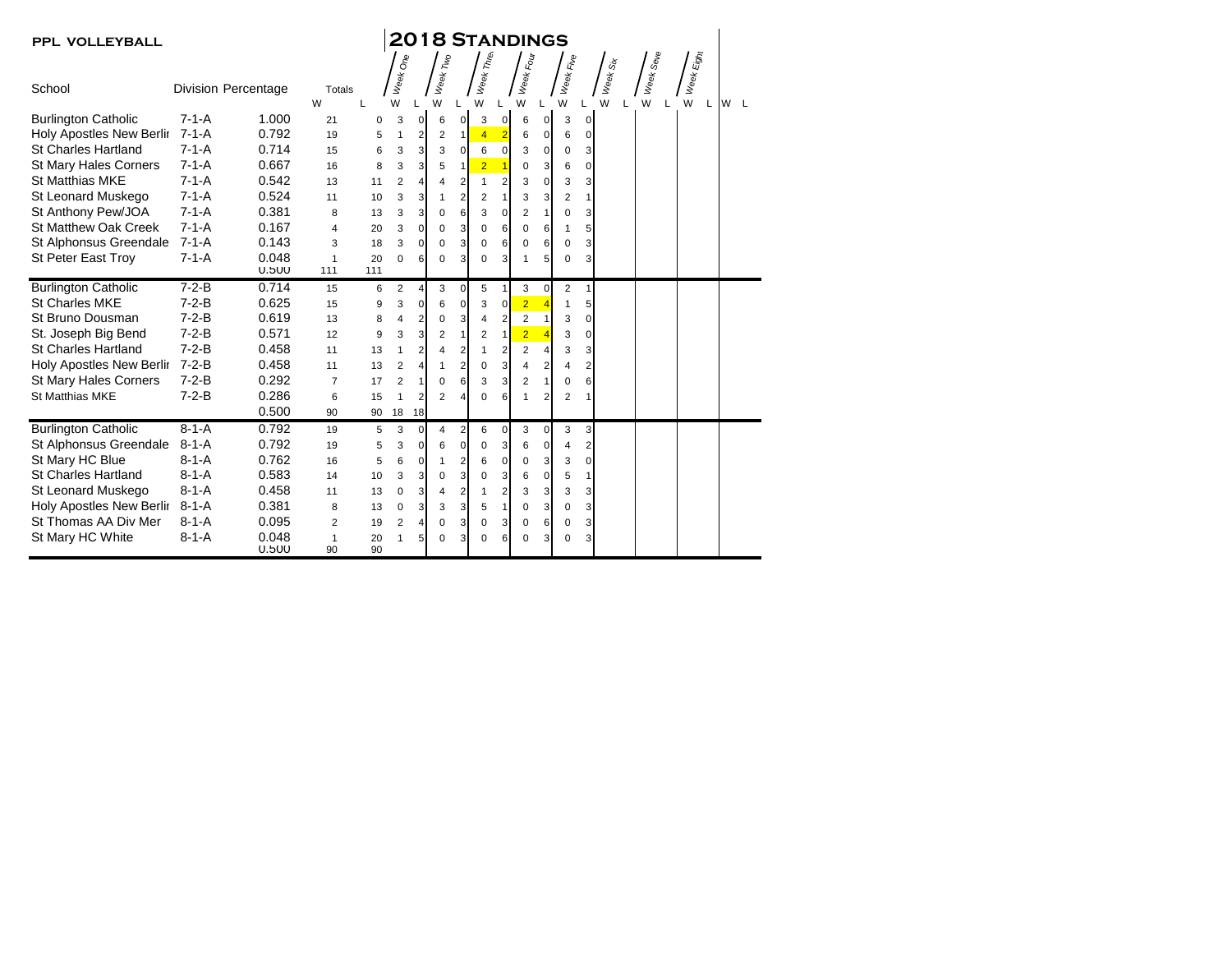| <b>PPL VOLLEYBALL</b>           |             |                            |                         |          |                |                |                |                |                |                | <b>2018 STANDINGS</b> |                |                |                |          |           |            |     |  |
|---------------------------------|-------------|----------------------------|-------------------------|----------|----------------|----------------|----------------|----------------|----------------|----------------|-----------------------|----------------|----------------|----------------|----------|-----------|------------|-----|--|
|                                 |             |                            |                         |          | Week One       |                | Week Two       |                | Week Three     |                | Week Four             |                | Week Five      |                | Week Six | Week Seve | Week Eight |     |  |
| School                          |             | <b>Division Percentage</b> | Totals<br>W             | L        | W              |                | W              |                | W              |                | W                     |                | W              |                | W        | W         | W<br>L     | W L |  |
| <b>Burlington Catholic</b>      | $7 - 1 - A$ | 1.000                      | 21                      | 0        | 3              | $\mathbf{0}$   | 6              | $\mathbf{0}$   | 3              | $\mathbf 0$    | 6                     | 0              | 3              | 0              |          |           |            |     |  |
| Holy Apostles New Berlir 7-1-A  |             | 0.792                      | 19                      | 5        | $\mathbf{1}$   | 2              | 2              | $\mathbf{1}$   | $\overline{4}$ | $\overline{2}$ | 6                     | 0              | 6              | $\mathbf 0$    |          |           |            |     |  |
| <b>St Charles Hartland</b>      | $7 - 1 - A$ | 0.714                      | 15                      | 6        | 3              | 3              | 3              | 0              | 6              | $\mathbf 0$    | 3                     | 0              | $\mathbf 0$    | 3              |          |           |            |     |  |
| <b>St Mary Hales Corners</b>    | $7 - 1 - A$ | 0.667                      | 16                      | 8        | 3              | 3              | 5              | 1              | $\overline{2}$ |                | 0                     | 3              | 6              | 0              |          |           |            |     |  |
| <b>St Matthias MKE</b>          | $7 - 1 - A$ | 0.542                      | 13                      | 11       | $\overline{2}$ | $\overline{4}$ | 4              | $\overline{2}$ | 1              | $\overline{2}$ | 3                     | 0              | 3              | 3              |          |           |            |     |  |
| St Leonard Muskego              | $7 - 1 - A$ | 0.524                      | 11                      | 10       | 3              | 3              | 1              | 2              | $\overline{2}$ | $\mathbf{1}$   | 3                     | 3              | $\overline{2}$ | $\mathbf{1}$   |          |           |            |     |  |
| St Anthony Pew/JOA              | $7 - 1 - A$ | 0.381                      | 8                       | 13       | 3              | 3              | 0              | 6              | 3              | $\mathbf 0$    | $\overline{2}$        | $\mathbf{1}$   | $\Omega$       | 3              |          |           |            |     |  |
| <b>St Matthew Oak Creek</b>     | $7 - 1 - A$ | 0.167                      | $\overline{\mathbf{4}}$ | 20       | 3              | 0              | $\Omega$       | 3              | 0              | 6              | $\Omega$              | 6              | 1              | 5              |          |           |            |     |  |
| St Alphonsus Greendale          | $7 - 1 - A$ | 0.143                      | 3                       | 18       | 3              | 0              | 0              | 3              | 0              | 6              | 0                     | 6              | $\mathbf 0$    | 3              |          |           |            |     |  |
| <b>St Peter East Troy</b>       | $7 - 1 - A$ | 0.048                      | 1                       | 20       | 0              | 6              | $\Omega$       | 3              | 0              | 3              | 1                     | 5              | $\mathbf 0$    | 3              |          |           |            |     |  |
|                                 |             | 0.500                      | 111                     | 111      |                |                |                |                |                |                |                       |                |                |                |          |           |            |     |  |
| <b>Burlington Catholic</b>      | $7-2-B$     | 0.714                      | 15                      | 6        | 2              | $\overline{4}$ | 3              | 0              | 5              | $\mathbf{1}$   | 3                     | $\mathbf 0$    | $\overline{2}$ | 1              |          |           |            |     |  |
| <b>St Charles MKE</b>           | $7 - 2 - B$ | 0.625                      | 15                      | 9        | 3              | $\mathbf 0$    | 6              | $\mathbf 0$    | 3              | 0              | $\overline{2}$        | $\overline{4}$ | 1              | 5              |          |           |            |     |  |
| St Bruno Dousman                | $7 - 2 - B$ | 0.619                      | 13                      | 8        | $\overline{4}$ | $\overline{2}$ | $\mathbf 0$    | 3              | 4              | $\overline{2}$ | $\overline{c}$        | 1              | 3              | $\Omega$       |          |           |            |     |  |
| St. Joseph Big Bend             | $7 - 2 - B$ | 0.571                      | 12                      | 9        | 3              | 3              | 2              | 1              | $\overline{2}$ | $\mathbf{1}$   | $\overline{2}$        | 4              | 3              | $\Omega$       |          |           |            |     |  |
| <b>St Charles Hartland</b>      | $7-2-B$     | 0.458                      | 11                      | 13       | $\mathbf{1}$   | $\overline{2}$ | 4              | $\overline{2}$ | 1              | $\overline{2}$ | $\overline{2}$        | 4              | 3              | 3              |          |           |            |     |  |
| Holy Apostles New Berlir 7-2-B  |             | 0.458                      | 11                      | 13       | $\overline{2}$ | 4              | 1              | 2              | 0              | 3              | 4                     | 2              | 4              | $\overline{2}$ |          |           |            |     |  |
| <b>St Mary Hales Corners</b>    | $7 - 2 - B$ | 0.292                      | $\overline{7}$          | 17       | $\overline{2}$ | $\mathbf{1}$   | 0              | 6              | 3              | 3              | $\overline{2}$        | $\mathbf{1}$   | $\mathbf 0$    | 6              |          |           |            |     |  |
| <b>St Matthias MKE</b>          | $7 - 2 - B$ | 0.286                      | 6                       | 15       | $\mathbf{1}$   | $\overline{2}$ | $\overline{2}$ | 4              | $\mathbf 0$    | 6              |                       | $\overline{2}$ | $\overline{2}$ |                |          |           |            |     |  |
|                                 |             | 0.500                      | 90                      | 90       | 18             | 18             |                |                |                |                |                       |                |                |                |          |           |            |     |  |
| <b>Burlington Catholic</b>      | $8 - 1 - A$ | 0.792                      | 19                      | 5        | 3              | $\Omega$       | 4              | 2              | 6              | 0              | 3                     | 0              | 3              | 3              |          |           |            |     |  |
| St Alphonsus Greendale          | $8 - 1 - A$ | 0.792                      | 19                      | 5        | 3              | 0              | 6              | 0              | 0              | 3              | 6                     | 0              | $\overline{4}$ | $\overline{2}$ |          |           |            |     |  |
| St Mary HC Blue                 | $8 - 1 - A$ | 0.762                      | 16                      | 5        | 6              | $\mathbf 0$    | 1              | $\overline{2}$ | 6              | $\overline{0}$ | 0                     | 3              | 3              | $\mathbf 0$    |          |           |            |     |  |
| <b>St Charles Hartland</b>      | $8 - 1 - A$ | 0.583                      | 14                      | 10       | 3              | 3              | 0              | 3              | 0              | 3              | 6                     | 0              | 5              | 1              |          |           |            |     |  |
| St Leonard Muskego              | $8 - 1 - A$ | 0.458                      | 11                      | 13       | $\mathbf 0$    | 3              | $\overline{4}$ | $\overline{2}$ | 1              | $\overline{2}$ | 3                     | 3              | 3              | 3              |          |           |            |     |  |
| <b>Holy Apostles New Berlir</b> | $8 - 1 - A$ | 0.381                      | 8                       | 13       | $\mathbf 0$    | 3              | 3              | 3              | 5              | $\mathbf{1}$   | 0                     | 3              | $\mathbf 0$    | 3              |          |           |            |     |  |
| St Thomas AA Div Mer            | $8 - 1 - A$ | 0.095                      | $\overline{2}$          | 19       | $\overline{2}$ | 4              | $\Omega$       | 3              | $\Omega$       | 3              | $\mathbf 0$           | 6              | $\mathbf 0$    | 3              |          |           |            |     |  |
| St Mary HC White                | $8 - 1 - A$ | 0.048<br>0.500             | 1<br>90                 | 20<br>90 | 1              | 5              | $\Omega$       | 3              | 0              | 6              | 0                     | 3              | $\mathbf 0$    | 3              |          |           |            |     |  |